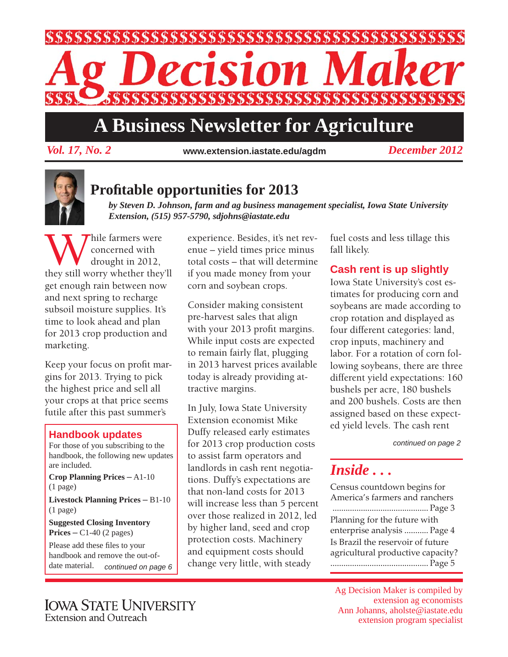

# **A Business Newsletter for Agriculture**

*Vol. 17, No. 2 December 2012* **www.extension.iastate.edu/agdm**



## **Profi table opportunities for 2013**

*by Steven D. Johnson, farm and ag business management specialist, Iowa State University Extension, (515) 957-5790, sdjohns@iastate.edu*

While farmers were<br>
drought in 2012,<br>
they still worry whether they'll concerned with drought in 2012, get enough rain between now and next spring to recharge subsoil moisture supplies. It's time to look ahead and plan for 2013 crop production and marketing.

Keep your focus on profit margins for 2013. Trying to pick the highest price and sell all your crops at that price seems futile after this past summer's

#### **Handbook updates**

For those of you subscribing to the handbook, the following new updates are included. **Crop Planning Prices** – A1-10 (1 page) **Livestock Planning Prices** – B1-10 (1 page) **Suggested Closing Inventory** 

**Prices** – C1-40 (2 pages) Please add these files to your handbook and remove the out-ofdate material. *continued on page 6* experience. Besides, it's net revenue – yield times price minus total costs – that will determine if you made money from your corn and soybean crops.

Consider making consistent pre-harvest sales that align with your 2013 profit margins. While input costs are expected to remain fairly flat, plugging in 2013 harvest prices available today is already providing attractive margins.

In July, Iowa State University Extension economist Mike Duffy released early estimates for 2013 crop production costs to assist farm operators and landlords in cash rent negotiations. Duffy's expectations are that non-land costs for 2013 will increase less than 5 percent over those realized in 2012, led by higher land, seed and crop protection costs. Machinery and equipment costs should change very little, with steady

fuel costs and less tillage this fall likely.

### **Cash rent is up slightly**

Iowa State University's cost estimates for producing corn and soybeans are made according to crop rotation and displayed as four different categories: land, crop inputs, machinery and labor. For a rotation of corn following soybeans, there are three different yield expectations: 160 bushels per acre, 180 bushels and 200 bushels. Costs are then assigned based on these expected yield levels. The cash rent

*continued on page 2*

### *Inside . . .*

Census countdown begins for America's farmers and ranchers ............................................ Page 3 Planning for the future with enterprise analysis ........... Page 4 Is Brazil the reservoir of future agricultural productive capacity? ............................................. Page 5

Ag Decision Maker is compiled by extension ag economists Ann Johanns, aholste@iastate.edu extension program specialist

**IOWA STATE UNIVERSITY** Extension and Outreach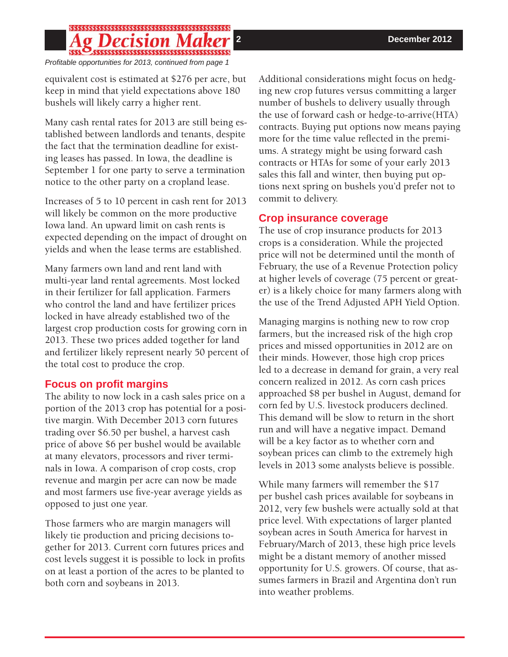# 

*Profi table opportunities for 2013, continued from page 1*

equivalent cost is estimated at \$276 per acre, but keep in mind that yield expectations above 180 bushels will likely carry a higher rent.

Many cash rental rates for 2013 are still being established between landlords and tenants, despite the fact that the termination deadline for existing leases has passed. In Iowa, the deadline is September 1 for one party to serve a termination notice to the other party on a cropland lease.

Increases of 5 to 10 percent in cash rent for 2013 will likely be common on the more productive Iowa land. An upward limit on cash rents is expected depending on the impact of drought on yields and when the lease terms are established.

Many farmers own land and rent land with multi-year land rental agreements. Most locked in their fertilizer for fall application. Farmers who control the land and have fertilizer prices locked in have already established two of the largest crop production costs for growing corn in 2013. These two prices added together for land and fertilizer likely represent nearly 50 percent of the total cost to produce the crop.

### **Focus on profit margins**

The ability to now lock in a cash sales price on a portion of the 2013 crop has potential for a positive margin. With December 2013 corn futures trading over \$6.50 per bushel, a harvest cash price of above \$6 per bushel would be available at many elevators, processors and river terminals in Iowa. A comparison of crop costs, crop revenue and margin per acre can now be made and most farmers use five-year average yields as opposed to just one year.

Those farmers who are margin managers will likely tie production and pricing decisions together for 2013. Current corn futures prices and cost levels suggest it is possible to lock in profits on at least a portion of the acres to be planted to both corn and soybeans in 2013.

Additional considerations might focus on hedging new crop futures versus committing a larger number of bushels to delivery usually through the use of forward cash or hedge-to-arrive(HTA) contracts. Buying put options now means paying more for the time value reflected in the premiums. A strategy might be using forward cash contracts or HTAs for some of your early 2013 sales this fall and winter, then buying put options next spring on bushels you'd prefer not to commit to delivery.

### **Crop insurance coverage**

The use of crop insurance products for 2013 crops is a consideration. While the projected price will not be determined until the month of February, the use of a Revenue Protection policy at higher levels of coverage (75 percent or greater) is a likely choice for many farmers along with the use of the Trend Adjusted APH Yield Option.

Managing margins is nothing new to row crop farmers, but the increased risk of the high crop prices and missed opportunities in 2012 are on their minds. However, those high crop prices led to a decrease in demand for grain, a very real concern realized in 2012. As corn cash prices approached \$8 per bushel in August, demand for corn fed by U.S. livestock producers declined. This demand will be slow to return in the short run and will have a negative impact. Demand will be a key factor as to whether corn and soybean prices can climb to the extremely high levels in 2013 some analysts believe is possible.

While many farmers will remember the \$17 per bushel cash prices available for soybeans in 2012, very few bushels were actually sold at that price level. With expectations of larger planted soybean acres in South America for harvest in February/March of 2013, these high price levels might be a distant memory of another missed opportunity for U.S. growers. Of course, that assumes farmers in Brazil and Argentina don't run into weather problems.